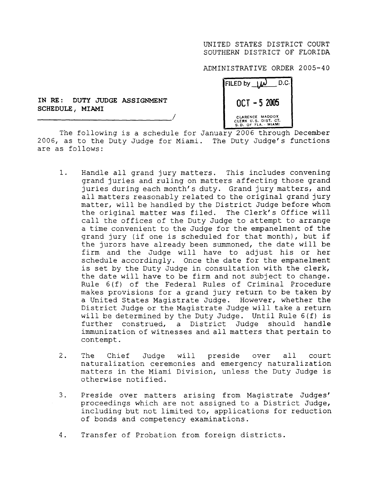ADMINISTRATIVE ORDER 2005-4 <sup>0</sup>

| D.C.<br>FILED by $1\omega$                                    |
|---------------------------------------------------------------|
| $OCT - 52005$                                                 |
| CLARENCE MADDOX<br>CLERK U.S. DIST. CT.<br>S.D. OF FLA. MIAMI |

**IN RE** : **DUTY JUDGE ASSIGNMENT SCHEDULE, MIAMI**

The following is a schedule for January 2006 through December 2006, as to the Duty Judge for Miami. The Duty Judge's functions are as follows :

- 1. Handle all grand jury matters. This includes convening grand juries and ruling on matters affecting those grand juries during each month's duty. Grand jury matters, and all matters reasonably related to the original grand jury matter, will be handled by the District Judge before whom the original matter was filed. The Clerk's Office will call the offices of the Duty Judge to attempt to arrange a time convenient to the Judge for the empanelment of the grand jury (if one is scheduled for that month), but if the jurors have already been summoned, the date will be firm and the Judge will have to adjust his or her schedule accordingly. Once the date for the empanelment is set by the Duty Judge in consultation with the clerk, the date will have to be firm and not subject to change . Rule 6(f) of the Federal Rules of Criminal Procedure makes provisions for a grand jury return to be taken by a United States Magistrate Judge . However, whether the District Judge or the Magistrate Judge will take a return will be determined by the Duty Judge. Until Rule 6(f) is further construed, a District Judge should handle immunization of witnesses and all matters that pertain to contempt .
- 2. The Chief Judge will preside over all court naturalization ceremonies and emergency naturalization matters in the Miami Division, unless the Duty Judge is otherwise notified .
- 3. Preside over matters arising from Magistrate Judges' proceedings which are not assigned to a District Judge, including but not limited to, applications for reduction of bonds and competency examinations .
- 4. Transfer of Probation from foreign districts.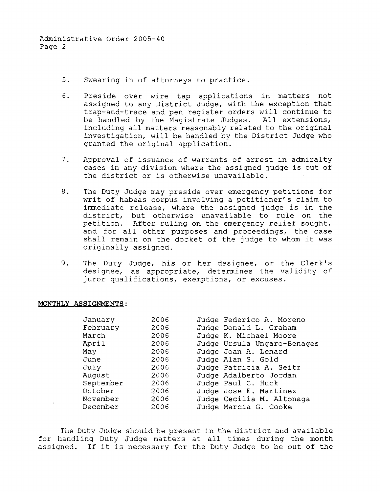Administrative Order 2005-40 Page 2

- 5. Swearing in of attorneys to practice.
- 6. Preside over wire tap applications in matters not assigned to any District Judge, with the exception that trap-and-trace and pen register orders will continue to be handled by the Magistrate Judges. All extensions, including all matters reasonably related to the original investigation, will be handled by the District Judge who granted the original application.
- 7. Approval of issuance of warrants of arrest in admiralty cases in any division where the assigned judge is out of the district or is otherwise unavailable .
- 8. The Duty Judge may preside over emergency petitions for writ of habeas corpus involving a petitioner's claim to immediate release, where the assigned judge is in the district, but otherwise unavailable to rule on the petition. After ruling on the emergency relief sought, and for all other purposes and proceedings, the case shall remain on the docket of the judge to whom it was originally assigned .
- 9. The Duty Judge, his or her designee, or the Clerk's designee, as appropriate, determines the validity of juror qualifications, exemptions, or excuses .

## **MONTHLY ASSIGNMENTS :**

| January   | 2006 | Judge Federico A. Moreno    |
|-----------|------|-----------------------------|
| February  | 2006 | Judge Donald L. Graham      |
| March     | 2006 | Judge K. Michael Moore      |
| April     | 2006 | Judge Ursula Ungaro-Benages |
| May       | 2006 | Judge Joan A. Lenard        |
| June      | 2006 | Judge Alan S. Gold          |
| July      | 2006 | Judge Patricia A. Seitz     |
| August    | 2006 | Judge Adalberto Jordan      |
| September | 2006 | Judge Paul C. Huck          |
| October   | 2006 | Judge Jose E. Martinez      |
| November  | 2006 | Judge Cecilia M. Altonaga   |
| December  | 2006 | Judge Marcia G. Cooke       |

The Duty Judge should be present in the district and available for handling Duty Judge matters at all times during the month assigned. If it is necessary for the Duty Judge to be out of the